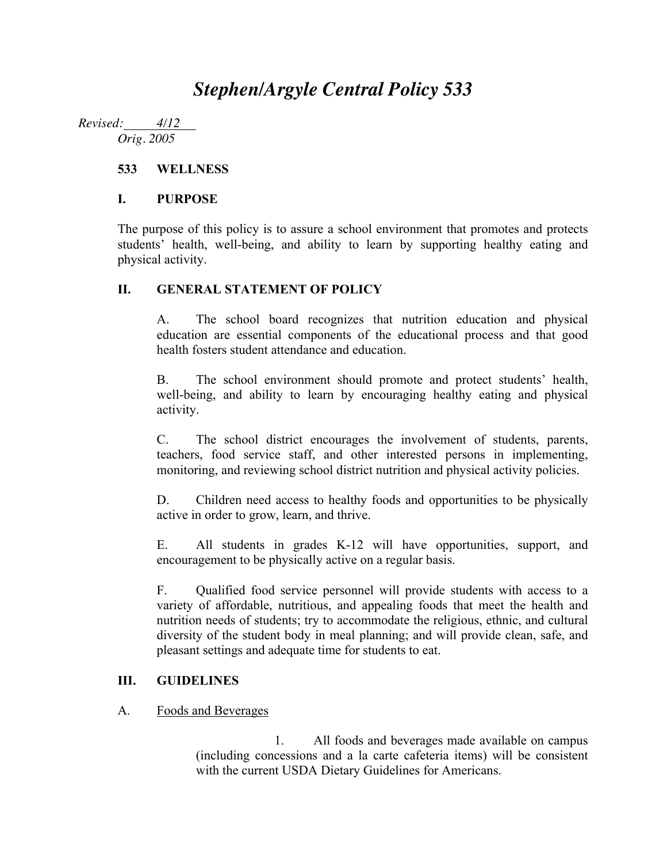# *Stephen/Argyle Central Policy 533*

*Revised: 4/12 Orig. 2005*

## **533 WELLNESS**

## **I. PURPOSE**

The purpose of this policy is to assure a school environment that promotes and protects students' health, well-being, and ability to learn by supporting healthy eating and physical activity.

## **II. GENERAL STATEMENT OF POLICY**

A. The school board recognizes that nutrition education and physical education are essential components of the educational process and that good health fosters student attendance and education.

B. The school environment should promote and protect students' health, well-being, and ability to learn by encouraging healthy eating and physical activity.

C. The school district encourages the involvement of students, parents, teachers, food service staff, and other interested persons in implementing, monitoring, and reviewing school district nutrition and physical activity policies.

D. Children need access to healthy foods and opportunities to be physically active in order to grow, learn, and thrive.

E. All students in grades K-12 will have opportunities, support, and encouragement to be physically active on a regular basis.

F. Qualified food service personnel will provide students with access to a variety of affordable, nutritious, and appealing foods that meet the health and nutrition needs of students; try to accommodate the religious, ethnic, and cultural diversity of the student body in meal planning; and will provide clean, safe, and pleasant settings and adequate time for students to eat.

## **III. GUIDELINES**

## A. Foods and Beverages

1. All foods and beverages made available on campus (including concessions and a la carte cafeteria items) will be consistent with the current USDA Dietary Guidelines for Americans.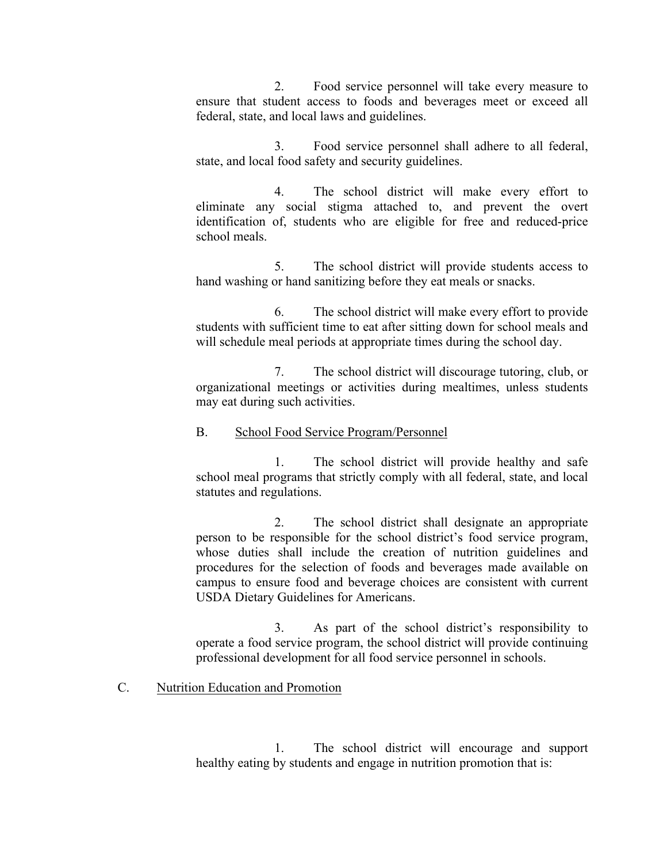2. Food service personnel will take every measure to ensure that student access to foods and beverages meet or exceed all federal, state, and local laws and guidelines.

3. Food service personnel shall adhere to all federal, state, and local food safety and security guidelines.

4. The school district will make every effort to eliminate any social stigma attached to, and prevent the overt identification of, students who are eligible for free and reduced-price school meals.

5. The school district will provide students access to hand washing or hand sanitizing before they eat meals or snacks.

6. The school district will make every effort to provide students with sufficient time to eat after sitting down for school meals and will schedule meal periods at appropriate times during the school day.

7. The school district will discourage tutoring, club, or organizational meetings or activities during mealtimes, unless students may eat during such activities.

#### B. School Food Service Program/Personnel

1. The school district will provide healthy and safe school meal programs that strictly comply with all federal, state, and local statutes and regulations.

2. The school district shall designate an appropriate person to be responsible for the school district's food service program, whose duties shall include the creation of nutrition guidelines and procedures for the selection of foods and beverages made available on campus to ensure food and beverage choices are consistent with current USDA Dietary Guidelines for Americans.

3. As part of the school district's responsibility to operate a food service program, the school district will provide continuing professional development for all food service personnel in schools.

## C. Nutrition Education and Promotion

1. The school district will encourage and support healthy eating by students and engage in nutrition promotion that is: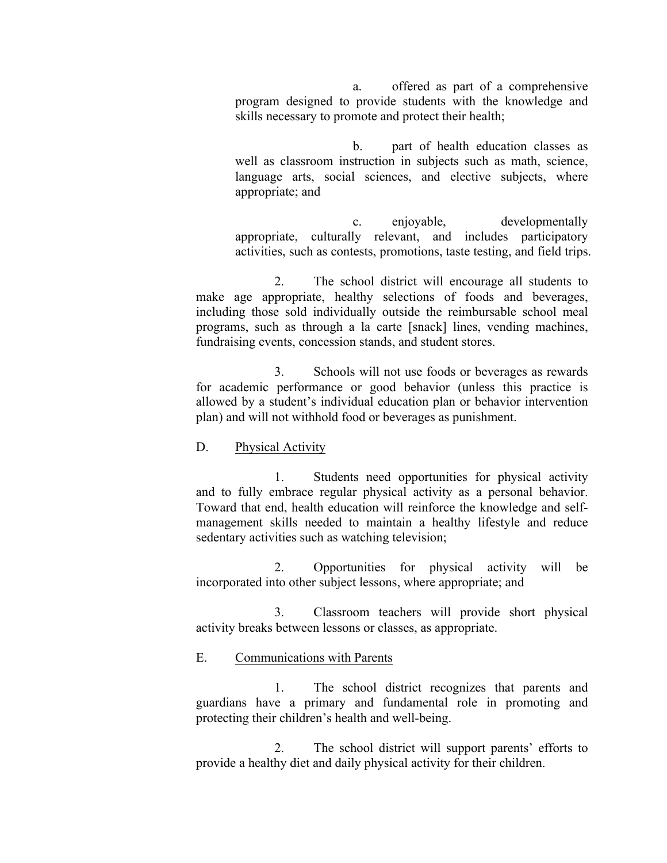a. offered as part of a comprehensive program designed to provide students with the knowledge and skills necessary to promote and protect their health;

b. part of health education classes as well as classroom instruction in subjects such as math, science, language arts, social sciences, and elective subjects, where appropriate; and

c. enjoyable, developmentally appropriate, culturally relevant, and includes participatory activities, such as contests, promotions, taste testing, and field trips.

2. The school district will encourage all students to make age appropriate, healthy selections of foods and beverages, including those sold individually outside the reimbursable school meal programs, such as through a la carte [snack] lines, vending machines, fundraising events, concession stands, and student stores.

3. Schools will not use foods or beverages as rewards for academic performance or good behavior (unless this practice is allowed by a student's individual education plan or behavior intervention plan) and will not withhold food or beverages as punishment.

#### D. Physical Activity

1. Students need opportunities for physical activity and to fully embrace regular physical activity as a personal behavior. Toward that end, health education will reinforce the knowledge and selfmanagement skills needed to maintain a healthy lifestyle and reduce sedentary activities such as watching television;

2. Opportunities for physical activity will be incorporated into other subject lessons, where appropriate; and

3. Classroom teachers will provide short physical activity breaks between lessons or classes, as appropriate.

#### E. Communications with Parents

1. The school district recognizes that parents and guardians have a primary and fundamental role in promoting and protecting their children's health and well-being.

2. The school district will support parents' efforts to provide a healthy diet and daily physical activity for their children.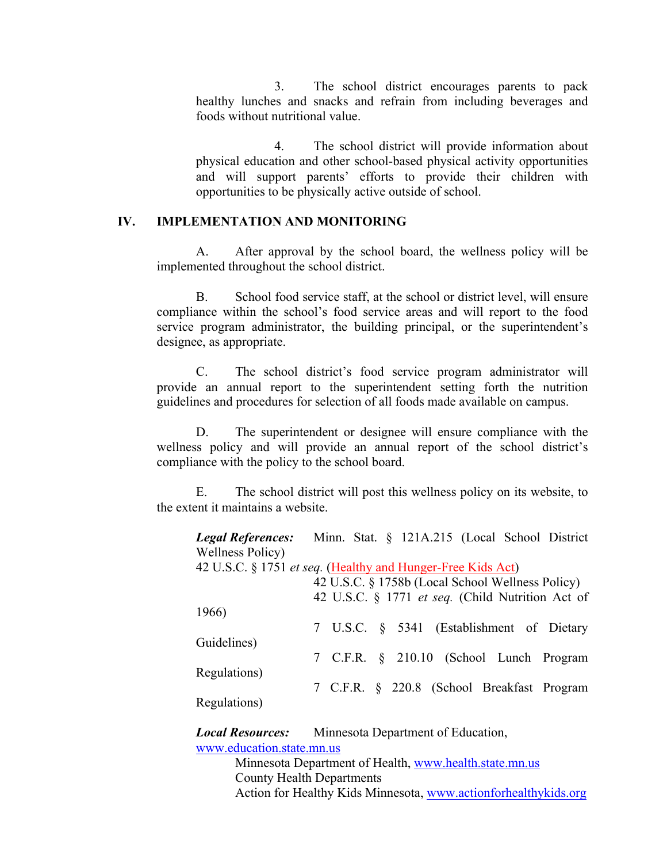3. The school district encourages parents to pack healthy lunches and snacks and refrain from including beverages and foods without nutritional value.

4. The school district will provide information about physical education and other school-based physical activity opportunities and will support parents' efforts to provide their children with opportunities to be physically active outside of school.

#### **IV. IMPLEMENTATION AND MONITORING**

A. After approval by the school board, the wellness policy will be implemented throughout the school district.

B. School food service staff, at the school or district level, will ensure compliance within the school's food service areas and will report to the food service program administrator, the building principal, or the superintendent's designee, as appropriate.

C. The school district's food service program administrator will provide an annual report to the superintendent setting forth the nutrition guidelines and procedures for selection of all foods made available on campus.

D. The superintendent or designee will ensure compliance with the wellness policy and will provide an annual report of the school district's compliance with the policy to the school board.

E. The school district will post this wellness policy on its website, to the extent it maintains a website.

| <b>Legal References:</b> Minn. Stat. § 121A.215 (Local School District |  |  |  |  |  |  |  |  |                                                  |
|------------------------------------------------------------------------|--|--|--|--|--|--|--|--|--------------------------------------------------|
| <b>Wellness Policy</b> )                                               |  |  |  |  |  |  |  |  |                                                  |
| 42 U.S.C. § 1751 <i>et seq.</i> (Healthy and Hunger-Free Kids Act)     |  |  |  |  |  |  |  |  |                                                  |
| 42 U.S.C. § 1758b (Local School Wellness Policy)                       |  |  |  |  |  |  |  |  |                                                  |
|                                                                        |  |  |  |  |  |  |  |  | 42 U.S.C. § 1771 et seq. (Child Nutrition Act of |
| 1966)                                                                  |  |  |  |  |  |  |  |  |                                                  |
|                                                                        |  |  |  |  |  |  |  |  | 7 U.S.C. § 5341 (Establishment of Dietary        |
| Guidelines)                                                            |  |  |  |  |  |  |  |  |                                                  |
|                                                                        |  |  |  |  |  |  |  |  | 7 C.F.R. § 210.10 (School Lunch Program          |
| Regulations)                                                           |  |  |  |  |  |  |  |  |                                                  |
|                                                                        |  |  |  |  |  |  |  |  | 7 C.F.R. § 220.8 (School Breakfast Program       |
| Regulations)                                                           |  |  |  |  |  |  |  |  |                                                  |

*Local Resources:* Minnesota Department of Education, www.education.state.mn.us

> Minnesota Department of Health, www.health.state.mn.us County Health Departments Action for Healthy Kids Minnesota, www.actionforhealthykids.org